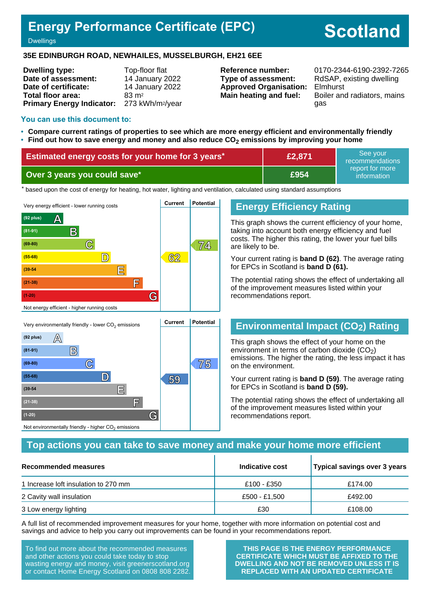## **Energy Performance Certificate (EPC)**

# **Scotland**

#### **Dwellings**

#### **35E EDINBURGH ROAD, NEWHAILES, MUSSELBURGH, EH21 6EE**

| <b>Dwelling type:</b>            | Top-floor flat               |
|----------------------------------|------------------------------|
| Date of assessment:              | 14 January 2022              |
| Date of certificate:             | 14 January 2022              |
| Total floor area:                | $83 \text{ m}^2$             |
| <b>Primary Energy Indicator:</b> | 273 kWh/m <sup>2</sup> /year |

**Type of assessment:** RdSAP, existing dwelling **Approved Organisation:** Elmhurst

**Reference number:** 0170-2344-6190-2392-7265 **Main heating and fuel:** Boiler and radiators, mains gas

#### **You can use this document to:**

- **Compare current ratings of properties to see which are more energy efficient and environmentally friendly**
- **Find out how to save energy and money and also reduce CO2 emissions by improving your home**

| Estimated energy costs for your home for 3 years* | £2,871 | See vour<br>recommendations                  |
|---------------------------------------------------|--------|----------------------------------------------|
| Over 3 years you could save*                      | £954   | ∟report for more <sup>।</sup><br>information |

the based upon the cost of energy for heating, hot water, lighting and ventilation, calculated using standard assumptions



## **Energy Efficiency Rating**

This graph shows the current efficiency of your home, taking into account both energy efficiency and fuel costs. The higher this rating, the lower your fuel bills are likely to be.

Your current rating is **band D (62)**. The average rating for EPCs in Scotland is **band D (61).**

The potential rating shows the effect of undertaking all of the improvement measures listed within your recommendations report.

## **Environmental Impact (CO2) Rating**

This graph shows the effect of your home on the environment in terms of carbon dioxide  $(CO<sub>2</sub>)$ emissions. The higher the rating, the less impact it has on the environment.

Your current rating is **band D (59)**. The average rating for EPCs in Scotland is **band D (59).**

The potential rating shows the effect of undertaking all of the improvement measures listed within your recommendations report.

## **Top actions you can take to save money and make your home more efficient**

| Recommended measures                 | Indicative cost | Typical savings over 3 years |
|--------------------------------------|-----------------|------------------------------|
| 1 Increase loft insulation to 270 mm | £100 - £350     | £174.00                      |
| 2 Cavity wall insulation             | £500 - £1,500   | £492.00                      |
| 3 Low energy lighting                | £30             | £108.00                      |

A full list of recommended improvement measures for your home, together with more information on potential cost and savings and advice to help you carry out improvements can be found in your recommendations report.

To find out more about the recommended measures and other actions you could take today to stop wasting energy and money, visit greenerscotland.org or contact Home Energy Scotland on 0808 808 2282.

Not environmentally friendly - higher  $\mathrm{CO}_2$  emissions

**THIS PAGE IS THE ENERGY PERFORMANCE CERTIFICATE WHICH MUST BE AFFIXED TO THE DWELLING AND NOT BE REMOVED UNLESS IT IS REPLACED WITH AN UPDATED CERTIFICATE**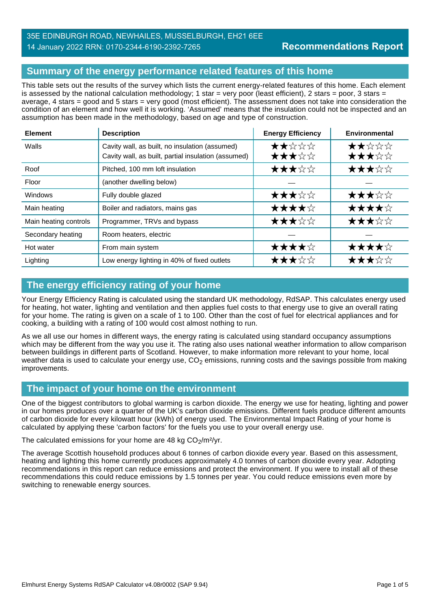## 35E EDINBURGH ROAD, NEWHAILES, MUSSELBURGH, EH21 6EE 14 January 2022 RRN: 0170-2344-6190-2392-7265

## **Summary of the energy performance related features of this home**

This table sets out the results of the survey which lists the current energy-related features of this home. Each element is assessed by the national calculation methodology; 1 star = very poor (least efficient), 2 stars = poor, 3 stars = average, 4 stars = good and 5 stars = very good (most efficient). The assessment does not take into consideration the condition of an element and how well it is working. 'Assumed' means that the insulation could not be inspected and an assumption has been made in the methodology, based on age and type of construction.

| <b>Element</b>        | <b>Description</b>                                                                                    | <b>Energy Efficiency</b> | Environmental  |
|-----------------------|-------------------------------------------------------------------------------------------------------|--------------------------|----------------|
| Walls                 | Cavity wall, as built, no insulation (assumed)<br>Cavity wall, as built, partial insulation (assumed) | ★★☆☆☆<br>★★★☆☆           | ★★☆☆☆<br>★★★☆☆ |
| Roof                  | Pitched, 100 mm loft insulation                                                                       | ★★★☆☆                    | ★★★☆☆          |
| Floor                 | (another dwelling below)                                                                              |                          |                |
| <b>Windows</b>        | Fully double glazed                                                                                   | ★★★☆☆                    | ★★★☆☆          |
| Main heating          | Boiler and radiators, mains gas                                                                       | ★★★★☆                    | ★★★★☆          |
| Main heating controls | Programmer, TRVs and bypass                                                                           | ★★★☆☆                    | ★★★☆☆          |
| Secondary heating     | Room heaters, electric                                                                                |                          |                |
| Hot water             | From main system                                                                                      | ★★★★☆                    | ★★★★☆          |
| Lighting              | Low energy lighting in 40% of fixed outlets                                                           | ★★★☆☆                    | ★★★☆☆          |

## **The energy efficiency rating of your home**

Your Energy Efficiency Rating is calculated using the standard UK methodology, RdSAP. This calculates energy used for heating, hot water, lighting and ventilation and then applies fuel costs to that energy use to give an overall rating for your home. The rating is given on a scale of 1 to 100. Other than the cost of fuel for electrical appliances and for cooking, a building with a rating of 100 would cost almost nothing to run.

As we all use our homes in different ways, the energy rating is calculated using standard occupancy assumptions which may be different from the way you use it. The rating also uses national weather information to allow comparison between buildings in different parts of Scotland. However, to make information more relevant to your home, local weather data is used to calculate your energy use,  $CO<sub>2</sub>$  emissions, running costs and the savings possible from making improvements.

## **The impact of your home on the environment**

One of the biggest contributors to global warming is carbon dioxide. The energy we use for heating, lighting and power in our homes produces over a quarter of the UK's carbon dioxide emissions. Different fuels produce different amounts of carbon dioxide for every kilowatt hour (kWh) of energy used. The Environmental Impact Rating of your home is calculated by applying these 'carbon factors' for the fuels you use to your overall energy use.

The calculated emissions for your home are 48 kg  $CO<sub>2</sub>/m<sup>2</sup>/yr$ .

The average Scottish household produces about 6 tonnes of carbon dioxide every year. Based on this assessment, heating and lighting this home currently produces approximately 4.0 tonnes of carbon dioxide every year. Adopting recommendations in this report can reduce emissions and protect the environment. If you were to install all of these recommendations this could reduce emissions by 1.5 tonnes per year. You could reduce emissions even more by switching to renewable energy sources.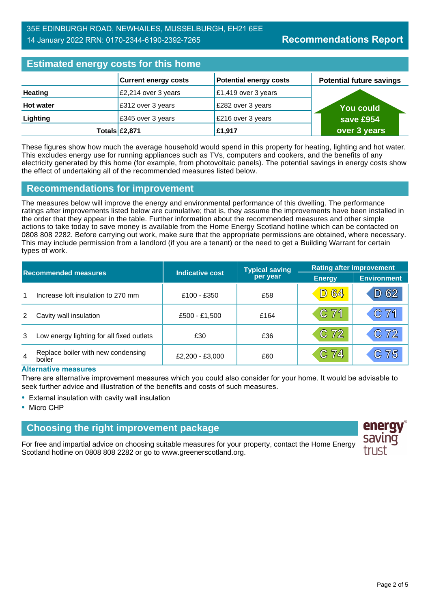## **Estimated energy costs for this home**

| <b>ESMINIQUE CITETAT COSTS TOT MIS HUIHC</b> |                             |                               |                                 |  |
|----------------------------------------------|-----------------------------|-------------------------------|---------------------------------|--|
|                                              | <b>Current energy costs</b> | <b>Potential energy costs</b> | <b>Potential future savings</b> |  |
| <b>Heating</b>                               | £2,214 over 3 years         | £1,419 over 3 years           |                                 |  |
| <b>Hot water</b>                             | £312 over 3 years           | £282 over 3 years             | <b>You could</b>                |  |
| Lighting                                     | £345 over 3 years           | £216 over 3 years             | save £954                       |  |
|                                              | Totals £2,871               | £1,917                        | over 3 years                    |  |

These figures show how much the average household would spend in this property for heating, lighting and hot water. This excludes energy use for running appliances such as TVs, computers and cookers, and the benefits of any electricity generated by this home (for example, from photovoltaic panels). The potential savings in energy costs show the effect of undertaking all of the recommended measures listed below.

## **Recommendations for improvement**

The measures below will improve the energy and environmental performance of this dwelling. The performance ratings after improvements listed below are cumulative; that is, they assume the improvements have been installed in the order that they appear in the table. Further information about the recommended measures and other simple actions to take today to save money is available from the Home Energy Scotland hotline which can be contacted on 0808 808 2282. Before carrying out work, make sure that the appropriate permissions are obtained, where necessary. This may include permission from a landlord (if you are a tenant) or the need to get a Building Warrant for certain types of work.

| <b>Recommended measures</b> |                                              |                        | <b>Typical saving</b> | <b>Rating after improvement</b> |                    |
|-----------------------------|----------------------------------------------|------------------------|-----------------------|---------------------------------|--------------------|
|                             |                                              | <b>Indicative cost</b> | per year              | <b>Energy</b>                   | <b>Environment</b> |
|                             | Increase loft insulation to 270 mm           | £100 - £350            | £58                   | <b>D 64</b>                     | 62                 |
|                             | Cavity wall insulation                       | £500 - £1,500          | £164                  | C 71                            | C71                |
| 3                           | Low energy lighting for all fixed outlets    | £30                    | £36                   | C <sub>72</sub>                 | C72                |
| $\overline{4}$              | Replace boiler with new condensing<br>boiler | £2,200 - £3,000        | £60                   | C 74                            | 75                 |

#### **Alternative measures**

There are alternative improvement measures which you could also consider for your home. It would be advisable to seek further advice and illustration of the benefits and costs of such measures.

- External insulation with cavity wall insulation
- Micro CHP

## **Choosing the right improvement package**

For free and impartial advice on choosing suitable measures for your property, contact the Home Energy Scotland hotline on 0808 808 2282 or go to www.greenerscotland.org.

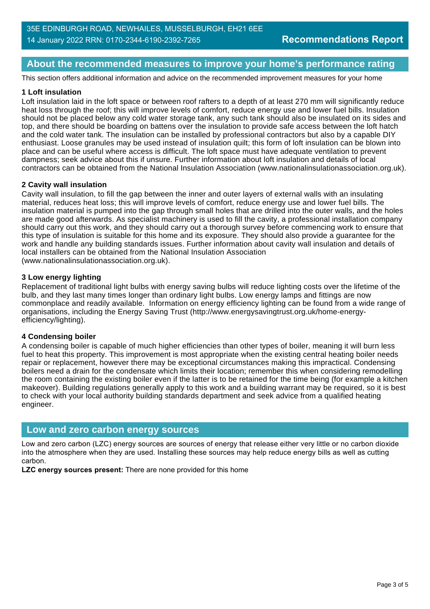## **About the recommended measures to improve your home's performance rating**

This section offers additional information and advice on the recommended improvement measures for your home

#### **1 Loft insulation**

Loft insulation laid in the loft space or between roof rafters to a depth of at least 270 mm will significantly reduce heat loss through the roof; this will improve levels of comfort, reduce energy use and lower fuel bills. Insulation should not be placed below any cold water storage tank, any such tank should also be insulated on its sides and top, and there should be boarding on battens over the insulation to provide safe access between the loft hatch and the cold water tank. The insulation can be installed by professional contractors but also by a capable DIY enthusiast. Loose granules may be used instead of insulation quilt; this form of loft insulation can be blown into place and can be useful where access is difficult. The loft space must have adequate ventilation to prevent dampness; seek advice about this if unsure. Further information about loft insulation and details of local contractors can be obtained from the National Insulation Association (www.nationalinsulationassociation.org.uk).

#### **2 Cavity wall insulation**

Cavity wall insulation, to fill the gap between the inner and outer layers of external walls with an insulating material, reduces heat loss; this will improve levels of comfort, reduce energy use and lower fuel bills. The insulation material is pumped into the gap through small holes that are drilled into the outer walls, and the holes are made good afterwards. As specialist machinery is used to fill the cavity, a professional installation company should carry out this work, and they should carry out a thorough survey before commencing work to ensure that this type of insulation is suitable for this home and its exposure. They should also provide a guarantee for the work and handle any building standards issues. Further information about cavity wall insulation and details of local installers can be obtained from the National Insulation Association (www.nationalinsulationassociation.org.uk).

#### **3 Low energy lighting**

Replacement of traditional light bulbs with energy saving bulbs will reduce lighting costs over the lifetime of the bulb, and they last many times longer than ordinary light bulbs. Low energy lamps and fittings are now commonplace and readily available. Information on energy efficiency lighting can be found from a wide range of organisations, including the Energy Saving Trust (http://www.energysavingtrust.org.uk/home-energyefficiency/lighting).

#### **4 Condensing boiler**

A condensing boiler is capable of much higher efficiencies than other types of boiler, meaning it will burn less fuel to heat this property. This improvement is most appropriate when the existing central heating boiler needs repair or replacement, however there may be exceptional circumstances making this impractical. Condensing boilers need a drain for the condensate which limits their location; remember this when considering remodelling the room containing the existing boiler even if the latter is to be retained for the time being (for example a kitchen makeover). Building regulations generally apply to this work and a building warrant may be required, so it is best to check with your local authority building standards department and seek advice from a qualified heating engineer.

#### **Low and zero carbon energy sources**

Low and zero carbon (LZC) energy sources are sources of energy that release either very little or no carbon dioxide into the atmosphere when they are used. Installing these sources may help reduce energy bills as well as cutting carbon.

**LZC energy sources present:** There are none provided for this home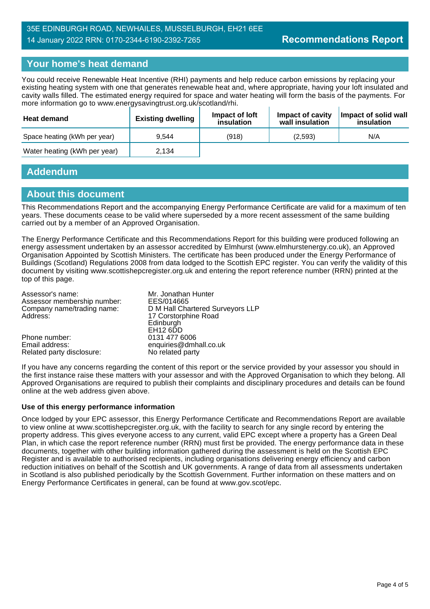## **Your home's heat demand**

You could receive Renewable Heat Incentive (RHI) payments and help reduce carbon emissions by replacing your existing heating system with one that generates renewable heat and, where appropriate, having your loft insulated and cavity walls filled. The estimated energy required for space and water heating will form the basis of the payments. For more information go to www.energysavingtrust.org.uk/scotland/rhi.

| <b>Heat demand</b>           | <b>Existing dwelling</b> | Impact of Joft<br>insulation | Impact of cavity<br>wall insulation | Impact of solid wall<br>insulation |
|------------------------------|--------------------------|------------------------------|-------------------------------------|------------------------------------|
| Space heating (kWh per year) | 9.544                    | (918)                        | (2,593)                             | N/A                                |
| Water heating (kWh per year) | 2.134                    |                              |                                     |                                    |

## **Addendum**

## **About this document**

This Recommendations Report and the accompanying Energy Performance Certificate are valid for a maximum of ten years. These documents cease to be valid where superseded by a more recent assessment of the same building carried out by a member of an Approved Organisation.

The Energy Performance Certificate and this Recommendations Report for this building were produced following an energy assessment undertaken by an assessor accredited by Elmhurst (www.elmhurstenergy.co.uk), an Approved Organisation Appointed by Scottish Ministers. The certificate has been produced under the Energy Performance of Buildings (Scotland) Regulations 2008 from data lodged to the Scottish EPC register. You can verify the validity of this document by visiting www.scottishepcregister.org.uk and entering the report reference number (RRN) printed at the top of this page.

| Assessor's name:            | Mr. Jonathan Hunter              |
|-----------------------------|----------------------------------|
| Assessor membership number: | EES/014665                       |
| Company name/trading name:  | D M Hall Chartered Surveyors LLP |
| Address:                    | 17 Corstorphine Road             |
|                             | Edinburgh                        |
|                             | EH12 6DD                         |
| Phone number:               | 0131 477 6006                    |
| Email address:              | enquiries@dmhall.co.uk           |

If you have any concerns regarding the content of this report or the service provided by your assessor you should in the first instance raise these matters with your assessor and with the Approved Organisation to which they belong. All Approved Organisations are required to publish their complaints and disciplinary procedures and details can be found online at the web address given above.

#### **Use of this energy performance information**

Related party disclosure: No related party

Once lodged by your EPC assessor, this Energy Performance Certificate and Recommendations Report are available to view online at www.scottishepcregister.org.uk, with the facility to search for any single record by entering the property address. This gives everyone access to any current, valid EPC except where a property has a Green Deal Plan, in which case the report reference number (RRN) must first be provided. The energy performance data in these documents, together with other building information gathered during the assessment is held on the Scottish EPC Register and is available to authorised recipients, including organisations delivering energy efficiency and carbon reduction initiatives on behalf of the Scottish and UK governments. A range of data from all assessments undertaken in Scotland is also published periodically by the Scottish Government. Further information on these matters and on Energy Performance Certificates in general, can be found at www.gov.scot/epc.